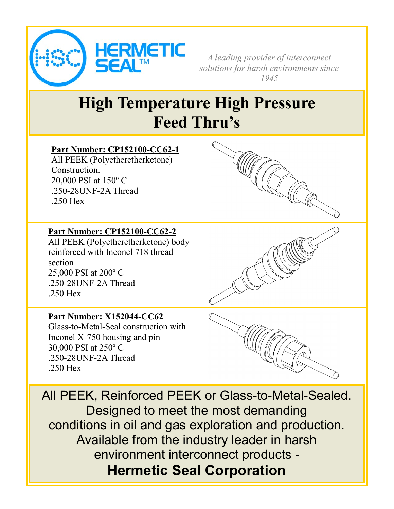

*A leading provider of interconnect solutions for harsh environments since 1945*

## **High Temperature High Pressure Feed Thru's**

## **Part Number: CP152100-CC62-1**

All PEEK (Polyetheretherketone) Construction. 20,000 PSI at 150º C .250-28UNF-2A Thread .250 Hex

#### **Part Number: CP152100-CC62-2**

All PEEK (Polyetheretherketone) body reinforced with Inconel 718 thread section 25,000 PSI at 200º C .250-28UNF-2A Thread .250 Hex

### **Part Number: X152044-CC62**

Glass-to-Metal-Seal construction with Inconel X-750 housing and pin 30,000 PSI at 250º C .250-28UNF-2A Thread .250 Hex



All PEEK, Reinforced PEEK or Glass-to-Metal-Sealed. Designed to meet the most demanding conditions in oil and gas exploration and production. Available from the industry leader in harsh environment interconnect products - **Hermetic Seal Corporation**